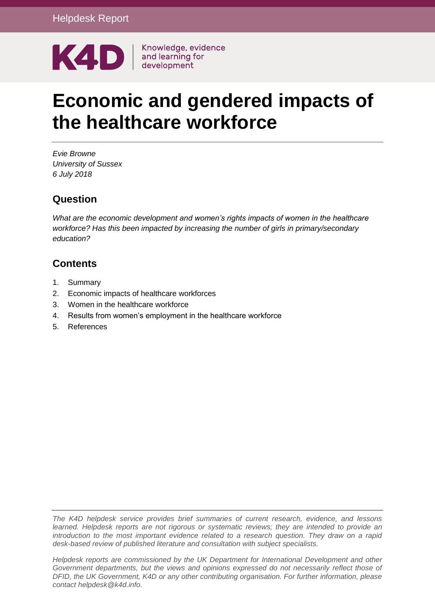

# **Economic and gendered impacts of the healthcare workforce**

*Evie Browne University of Sussex 6 July 2018*

## **Question**

*What are the economic development and women's rights impacts of women in the healthcare workforce? Has this been impacted by increasing the number of girls in primary/secondary education?*

## **Contents**

- 1. [Summary](#page-1-0)
- 2. [Economic impacts of healthcare workforces](#page-2-0)
- 3. [Women in the healthcare workforce](#page-3-0)
- 4. [Results from women's employment in the healthcare workforce](#page-6-0)
- 5. [References](#page-8-0)

*The K4D helpdesk service provides brief summaries of current research, evidence, and lessons learned. Helpdesk reports are not rigorous or systematic reviews; they are intended to provide an introduction to the most important evidence related to a research question. They draw on a rapid desk-based review of published literature and consultation with subject specialists.* 

*Helpdesk reports are commissioned by the UK Department for International Development and other Government departments, but the views and opinions expressed do not necessarily reflect those of DFID, the UK Government, K4D or any other contributing organisation. For further information, please contact helpdesk@k4d.info.*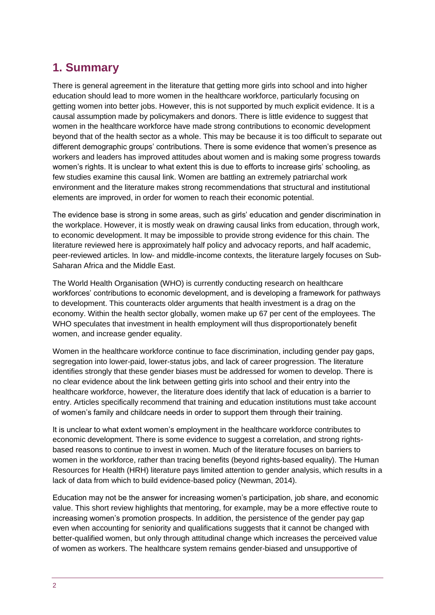# <span id="page-1-0"></span>**1. Summary**

There is general agreement in the literature that getting more girls into school and into higher education should lead to more women in the healthcare workforce, particularly focusing on getting women into better jobs. However, this is not supported by much explicit evidence. It is a causal assumption made by policymakers and donors. There is little evidence to suggest that women in the healthcare workforce have made strong contributions to economic development beyond that of the health sector as a whole. This may be because it is too difficult to separate out different demographic groups' contributions. There is some evidence that women's presence as workers and leaders has improved attitudes about women and is making some progress towards women's rights. It is unclear to what extent this is due to efforts to increase girls' schooling, as few studies examine this causal link. Women are battling an extremely patriarchal work environment and the literature makes strong recommendations that structural and institutional elements are improved, in order for women to reach their economic potential.

The evidence base is strong in some areas, such as girls' education and gender discrimination in the workplace. However, it is mostly weak on drawing causal links from education, through work, to economic development. It may be impossible to provide strong evidence for this chain. The literature reviewed here is approximately half policy and advocacy reports, and half academic, peer-reviewed articles. In low- and middle-income contexts, the literature largely focuses on Sub-Saharan Africa and the Middle East.

The World Health Organisation (WHO) is currently conducting research on healthcare workforces' contributions to economic development, and is developing a framework for pathways to development. This counteracts older arguments that health investment is a drag on the economy. Within the health sector globally, women make up 67 per cent of the employees. The WHO speculates that investment in health employment will thus disproportionately benefit women, and increase gender equality.

Women in the healthcare workforce continue to face discrimination, including gender pay gaps, segregation into lower-paid, lower-status jobs, and lack of career progression. The literature identifies strongly that these gender biases must be addressed for women to develop. There is no clear evidence about the link between getting girls into school and their entry into the healthcare workforce, however, the literature does identify that lack of education is a barrier to entry. Articles specifically recommend that training and education institutions must take account of women's family and childcare needs in order to support them through their training.

It is unclear to what extent women's employment in the healthcare workforce contributes to economic development. There is some evidence to suggest a correlation, and strong rightsbased reasons to continue to invest in women. Much of the literature focuses on barriers to women in the workforce, rather than tracing benefits (beyond rights-based equality). The Human Resources for Health (HRH) literature pays limited attention to gender analysis, which results in a lack of data from which to build evidence-based policy (Newman, 2014).

Education may not be the answer for increasing women's participation, job share, and economic value. This short review highlights that mentoring, for example, may be a more effective route to increasing women's promotion prospects. In addition, the persistence of the gender pay gap even when accounting for seniority and qualifications suggests that it cannot be changed with better-qualified women, but only through attitudinal change which increases the perceived value of women as workers. The healthcare system remains gender-biased and unsupportive of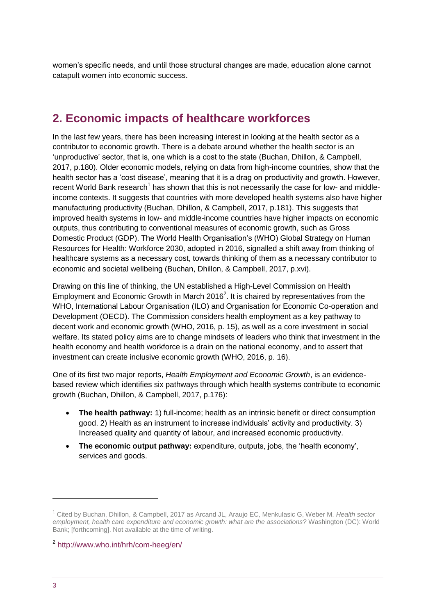women's specific needs, and until those structural changes are made, education alone cannot catapult women into economic success.

# <span id="page-2-0"></span>**2. Economic impacts of healthcare workforces**

In the last few years, there has been increasing interest in looking at the health sector as a contributor to economic growth. There is a debate around whether the health sector is an 'unproductive' sector, that is, one which is a cost to the state (Buchan, Dhillon, & Campbell, 2017, p.180). Older economic models, relying on data from high-income countries, show that the health sector has a 'cost disease', meaning that it is a drag on productivity and growth. However, recent World Bank research<sup>1</sup> has shown that this is not necessarily the case for low- and middleincome contexts. It suggests that countries with more developed health systems also have higher manufacturing productivity (Buchan, Dhillon, & Campbell, 2017, p.181). This suggests that improved health systems in low- and middle-income countries have higher impacts on economic outputs, thus contributing to conventional measures of economic growth, such as Gross Domestic Product (GDP). The World Health Organisation's (WHO) Global Strategy on Human Resources for Health: Workforce 2030, adopted in 2016, signalled a shift away from thinking of healthcare systems as a necessary cost, towards thinking of them as a necessary contributor to economic and societal wellbeing (Buchan, Dhillon, & Campbell, 2017, p.xvi).

Drawing on this line of thinking, the UN established a High-Level Commission on Health Employment and Economic Growth in March 2016<sup>2</sup>. It is chaired by representatives from the WHO, International Labour Organisation (ILO) and Organisation for Economic Co-operation and Development (OECD). The Commission considers health employment as a key pathway to decent work and economic growth (WHO, 2016, p. 15), as well as a core investment in social welfare. Its stated policy aims are to change mindsets of leaders who think that investment in the health economy and health workforce is a drain on the national economy, and to assert that investment can create inclusive economic growth (WHO, 2016, p. 16).

One of its first two major reports, *Health Employment and Economic Growth*, is an evidencebased review which identifies six pathways through which health systems contribute to economic growth (Buchan, Dhillon, & Campbell, 2017, p.176):

- **The health pathway:** 1) full-income; health as an intrinsic benefit or direct consumption good. 2) Health as an instrument to increase individuals' activity and productivity. 3) Increased quality and quantity of labour, and increased economic productivity.
- **The economic output pathway:** expenditure, outputs, jobs, the 'health economy', services and goods.

-

<sup>1</sup> Cited by Buchan, Dhillon, & Campbell, 2017 as Arcand JL, Araujo EC, Menkulasic G, Weber M. *Health sector*  employment, health care expenditure and economic growth: what are the associations? Washington (DC): World Bank; [forthcoming]. Not available at the time of writing.

<sup>2</sup> <http://www.who.int/hrh/com-heeg/en/>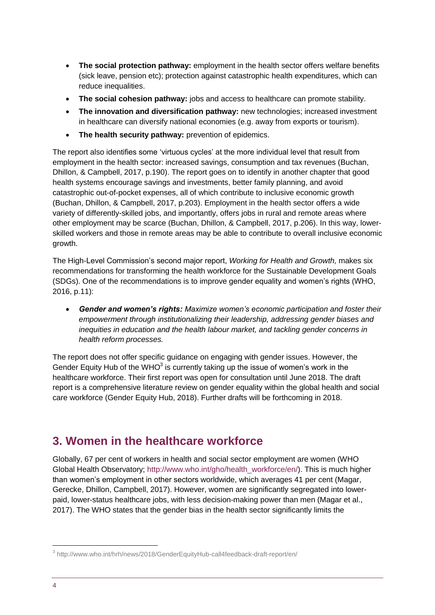- **The social protection pathway:** employment in the health sector offers welfare benefits (sick leave, pension etc); protection against catastrophic health expenditures, which can reduce inequalities.
- **The social cohesion pathway:** jobs and access to healthcare can promote stability.
- **The innovation and diversification pathway:** new technologies; increased investment in healthcare can diversify national economies (e.g. away from exports or tourism).
- **The health security pathway:** prevention of epidemics.

The report also identifies some 'virtuous cycles' at the more individual level that result from employment in the health sector: increased savings, consumption and tax revenues (Buchan, Dhillon, & Campbell, 2017, p.190). The report goes on to identify in another chapter that good health systems encourage savings and investments, better family planning, and avoid catastrophic out-of-pocket expenses, all of which contribute to inclusive economic growth (Buchan, Dhillon, & Campbell, 2017, p.203). Employment in the health sector offers a wide variety of differently-skilled jobs, and importantly, offers jobs in rural and remote areas where other employment may be scarce (Buchan, Dhillon, & Campbell, 2017, p.206). In this way, lowerskilled workers and those in remote areas may be able to contribute to overall inclusive economic growth.

The High-Level Commission's second major report, *Working for Health and Growth,* makes six recommendations for transforming the health workforce for the Sustainable Development Goals (SDGs). One of the recommendations is to improve gender equality and women's rights (WHO, 2016, p.11):

 *Gender and women's rights: Maximize women's economic participation and foster their empowerment through institutionalizing their leadership, addressing gender biases and inequities in education and the health labour market, and tackling gender concerns in health reform processes.*

The report does not offer specific guidance on engaging with gender issues. However, the Gender Equity Hub of the WHO $3$  is currently taking up the issue of women's work in the healthcare workforce. Their first report was open for consultation until June 2018. The draft report is a comprehensive literature review on gender equality within the global health and social care workforce (Gender Equity Hub, 2018). Further drafts will be forthcoming in 2018.

# <span id="page-3-0"></span>**3. Women in the healthcare workforce**

Globally, 67 per cent of workers in health and social sector employment are women (WHO Global Health Observatory; [http://www.who.int/gho/health\\_workforce/en/\)](http://www.who.int/gho/health_workforce/en/). This is much higher than women's employment in other sectors worldwide, which averages 41 per cent (Magar, Gerecke, Dhillon, Campbell, 2017). However, women are significantly segregated into lowerpaid, lower-status healthcare jobs, with less decision-making power than men (Magar et al., 2017). The WHO states that the gender bias in the health sector significantly limits the

-

<sup>&</sup>lt;sup>3</sup> http://www.who.int/hrh/news/2018/GenderEquityHub-call4feedback-draft-report/en/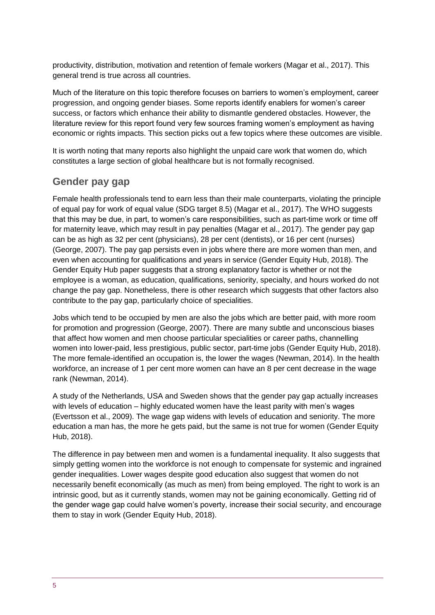productivity, distribution, motivation and retention of female workers (Magar et al., 2017). This general trend is true across all countries.

Much of the literature on this topic therefore focuses on barriers to women's employment, career progression, and ongoing gender biases. Some reports identify enablers for women's career success, or factors which enhance their ability to dismantle gendered obstacles. However, the literature review for this report found very few sources framing women's employment as having economic or rights impacts. This section picks out a few topics where these outcomes are visible.

It is worth noting that many reports also highlight the unpaid care work that women do, which constitutes a large section of global healthcare but is not formally recognised.

#### **Gender pay gap**

Female health professionals tend to earn less than their male counterparts, violating the principle of equal pay for work of equal value (SDG target 8.5) (Magar et al., 2017). The WHO suggests that this may be due, in part, to women's care responsibilities, such as part-time work or time off for maternity leave, which may result in pay penalties (Magar et al., 2017). The gender pay gap can be as high as 32 per cent (physicians), 28 per cent (dentists), or 16 per cent (nurses) (George, 2007). The pay gap persists even in jobs where there are more women than men, and even when accounting for qualifications and years in service (Gender Equity Hub, 2018). The Gender Equity Hub paper suggests that a strong explanatory factor is whether or not the employee is a woman, as education, qualifications, seniority, specialty, and hours worked do not change the pay gap. Nonetheless, there is other research which suggests that other factors also contribute to the pay gap, particularly choice of specialities.

Jobs which tend to be occupied by men are also the jobs which are better paid, with more room for promotion and progression (George, 2007). There are many subtle and unconscious biases that affect how women and men choose particular specialities or career paths, channelling women into lower-paid, less prestigious, public sector, part-time jobs (Gender Equity Hub, 2018). The more female-identified an occupation is, the lower the wages (Newman, 2014). In the health workforce, an increase of 1 per cent more women can have an 8 per cent decrease in the wage rank (Newman, 2014).

A study of the Netherlands, USA and Sweden shows that the gender pay gap actually increases with levels of education – highly educated women have the least parity with men's wages (Evertsson et al., 2009). The wage gap widens with levels of education and seniority. The more education a man has, the more he gets paid, but the same is not true for women (Gender Equity Hub, 2018).

The difference in pay between men and women is a fundamental inequality. It also suggests that simply getting women into the workforce is not enough to compensate for systemic and ingrained gender inequalities. Lower wages despite good education also suggest that women do not necessarily benefit economically (as much as men) from being employed. The right to work is an intrinsic good, but as it currently stands, women may not be gaining economically. Getting rid of the gender wage gap could halve women's poverty, increase their social security, and encourage them to stay in work (Gender Equity Hub, 2018).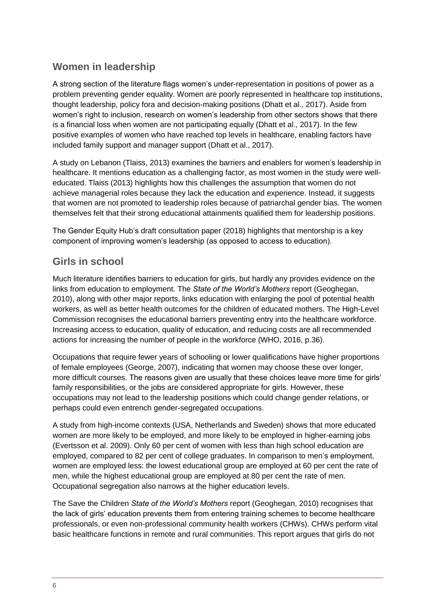## **Women in leadership**

A strong section of the literature flags women's under-representation in positions of power as a problem preventing gender equality. Women are poorly represented in healthcare top institutions, thought leadership, policy fora and decision-making positions (Dhatt et al., 2017). Aside from women's right to inclusion, research on women's leadership from other sectors shows that there is a financial loss when women are not participating equally (Dhatt et al., 2017). In the few positive examples of women who have reached top levels in healthcare, enabling factors have included family support and manager support (Dhatt et al., 2017).

A study on Lebanon (Tlaiss, 2013) examines the barriers and enablers for women's leadership in healthcare. It mentions education as a challenging factor, as most women in the study were welleducated. Tlaiss (2013) highlights how this challenges the assumption that women do not achieve managerial roles because they lack the education and experience. Instead, it suggests that women are not promoted to leadership roles because of patriarchal gender bias. The women themselves felt that their strong educational attainments qualified them for leadership positions.

The Gender Equity Hub's draft consultation paper (2018) highlights that mentorship is a key component of improving women's leadership (as opposed to access to education).

#### **Girls in school**

Much literature identifies barriers to education for girls, but hardly any provides evidence on the links from education to employment. The *State of the World's Mothers* report (Geoghegan, 2010), along with other major reports, links education with enlarging the pool of potential health workers, as well as better health outcomes for the children of educated mothers. The High-Level Commission recognises the educational barriers preventing entry into the healthcare workforce. Increasing access to education, quality of education, and reducing costs are all recommended actions for increasing the number of people in the workforce (WHO, 2016, p.36).

Occupations that require fewer years of schooling or lower qualifications have higher proportions of female employees (George, 2007), indicating that women may choose these over longer, more difficult courses. The reasons given are usually that these choices leave more time for girls' family responsibilities, or the jobs are considered appropriate for girls. However, these occupations may not lead to the leadership positions which could change gender relations, or perhaps could even entrench gender-segregated occupations.

A study from high-income contexts (USA, Netherlands and Sweden) shows that more educated women are more likely to be employed, and more likely to be employed in higher-earning jobs (Evertsson et al. 2009). Only 60 per cent of women with less than high school education are employed, compared to 82 per cent of college graduates. In comparison to men's employment, women are employed less: the lowest educational group are employed at 60 per cent the rate of men, while the highest educational group are employed at 80 per cent the rate of men. Occupational segregation also narrows at the higher education levels.

The Save the Children *State of the World's Mothers* report (Geoghegan, 2010) recognises that the lack of girls' education prevents them from entering training schemes to become healthcare professionals, or even non-professional community health workers (CHWs). CHWs perform vital basic healthcare functions in remote and rural communities. This report argues that girls do not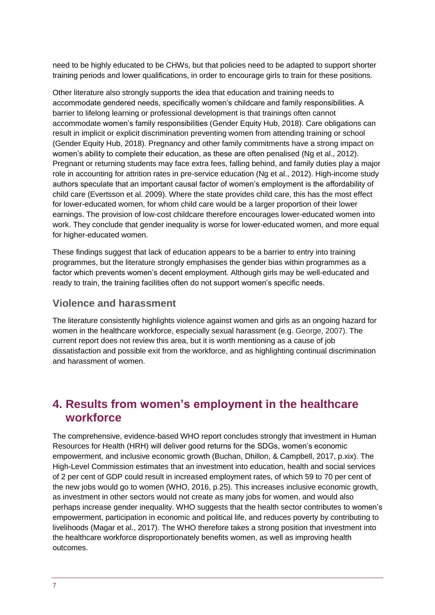need to be highly educated to be CHWs, but that policies need to be adapted to support shorter training periods and lower qualifications, in order to encourage girls to train for these positions.

Other literature also strongly supports the idea that education and training needs to accommodate gendered needs, specifically women's childcare and family responsibilities. A barrier to lifelong learning or professional development is that trainings often cannot accommodate women's family responsibilities (Gender Equity Hub, 2018). Care obligations can result in implicit or explicit discrimination preventing women from attending training or school (Gender Equity Hub, 2018). Pregnancy and other family commitments have a strong impact on women's ability to complete their education, as these are often penalised (Ng et al., 2012). Pregnant or returning students may face extra fees, falling behind, and family duties play a major role in accounting for attrition rates in pre-service education (Ng et al., 2012). High-income study authors speculate that an important causal factor of women's employment is the affordability of child care (Evertsson et al. 2009). Where the state provides child care, this has the most effect for lower-educated women, for whom child care would be a larger proportion of their lower earnings. The provision of low-cost childcare therefore encourages lower-educated women into work. They conclude that gender inequality is worse for lower-educated women, and more equal for higher-educated women.

These findings suggest that lack of education appears to be a barrier to entry into training programmes, but the literature strongly emphasises the gender bias within programmes as a factor which prevents women's decent employment. Although girls may be well-educated and ready to train, the training facilities often do not support women's specific needs.

#### **Violence and harassment**

The literature consistently highlights violence against women and girls as an ongoing hazard for women in the healthcare workforce, especially sexual harassment (e.g. George, 2007). The current report does not review this area, but it is worth mentioning as a cause of job dissatisfaction and possible exit from the workforce, and as highlighting continual discrimination and harassment of women.

## <span id="page-6-0"></span>**4. Results from women's employment in the healthcare workforce**

The comprehensive, evidence-based WHO report concludes strongly that investment in Human Resources for Health (HRH) will deliver good returns for the SDGs, women's economic empowerment, and inclusive economic growth (Buchan, Dhillon, & Campbell, 2017, p.xix). The High-Level Commission estimates that an investment into education, health and social services of 2 per cent of GDP could result in increased employment rates, of which 59 to 70 per cent of the new jobs would go to women (WHO, 2016, p.25). This increases inclusive economic growth, as investment in other sectors would not create as many jobs for women, and would also perhaps increase gender inequality. WHO suggests that the health sector contributes to women's empowerment, participation in economic and political life, and reduces poverty by contributing to livelihoods (Magar et al., 2017). The WHO therefore takes a strong position that investment into the healthcare workforce disproportionately benefits women, as well as improving health outcomes.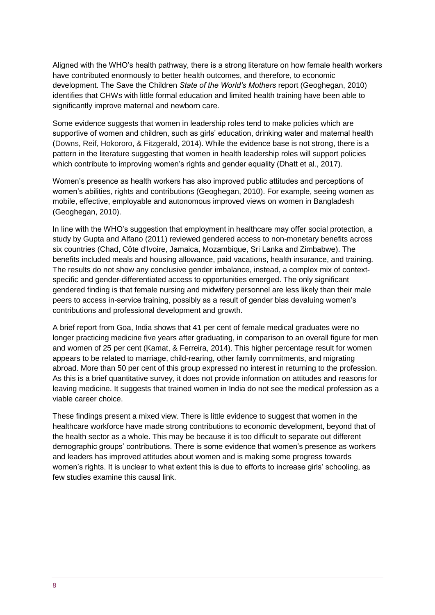Aligned with the WHO's health pathway, there is a strong literature on how female health workers have contributed enormously to better health outcomes, and therefore, to economic development. The Save the Children *State of the World's Mothers* report (Geoghegan, 2010) identifies that CHWs with little formal education and limited health training have been able to significantly improve maternal and newborn care.

Some evidence suggests that women in leadership roles tend to make policies which are supportive of women and children, such as girls' education, drinking water and maternal health (Downs, Reif, Hokororo, & Fitzgerald, 2014). While the evidence base is not strong, there is a pattern in the literature suggesting that women in health leadership roles will support policies which contribute to improving women's rights and gender equality (Dhatt et al., 2017).

Women's presence as health workers has also improved public attitudes and perceptions of women's abilities, rights and contributions (Geoghegan, 2010). For example, seeing women as mobile, effective, employable and autonomous improved views on women in Bangladesh (Geoghegan, 2010).

In line with the WHO's suggestion that employment in healthcare may offer social protection, a study by Gupta and Alfano (2011) reviewed gendered access to non-monetary benefits across six countries (Chad, Côte d'Ivoire, Jamaica, Mozambique, Sri Lanka and Zimbabwe). The benefits included meals and housing allowance, paid vacations, health insurance, and training. The results do not show any conclusive gender imbalance, instead, a complex mix of contextspecific and gender-differentiated access to opportunities emerged. The only significant gendered finding is that female nursing and midwifery personnel are less likely than their male peers to access in-service training, possibly as a result of gender bias devaluing women's contributions and professional development and growth.

A brief report from Goa, India shows that 41 per cent of female medical graduates were no longer practicing medicine five years after graduating, in comparison to an overall figure for men and women of 25 per cent (Kamat, & Ferreira, 2014). This higher percentage result for women appears to be related to marriage, child-rearing, other family commitments, and migrating abroad. More than 50 per cent of this group expressed no interest in returning to the profession. As this is a brief quantitative survey, it does not provide information on attitudes and reasons for leaving medicine. It suggests that trained women in India do not see the medical profession as a viable career choice.

These findings present a mixed view. There is little evidence to suggest that women in the healthcare workforce have made strong contributions to economic development, beyond that of the health sector as a whole. This may be because it is too difficult to separate out different demographic groups' contributions. There is some evidence that women's presence as workers and leaders has improved attitudes about women and is making some progress towards women's rights. It is unclear to what extent this is due to efforts to increase girls' schooling, as few studies examine this causal link.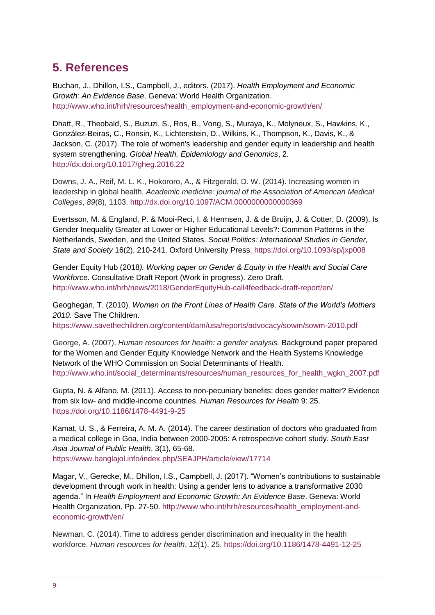# <span id="page-8-0"></span>**5. References**

Buchan, J., Dhillon, I.S., Campbell, J., editors. (2017). *Health Employment and Economic Growth: An Evidence Base*. Geneva: World Health Organization. [http://www.who.int/hrh/resources/health\\_employment-and-economic-growth/en/](http://www.who.int/hrh/resources/health_employment-and-economic-growth/en/)

Dhatt, R., Theobald, S., Buzuzi, S., Ros, B., Vong, S., Muraya, K., Molyneux, S., Hawkins, K., González-Beiras, C., Ronsin, K., Lichtenstein, D., Wilkins, K., Thompson, K., Davis, K., & Jackson, C. (2017). The role of women's leadership and gender equity in leadership and health system strengthening. *Global Health, Epidemiology and Genomics*, 2. <http://dx.doi.org/10.1017/gheg.2016.22>

Downs, J. A., Reif, M. L. K., Hokororo, A., & Fitzgerald, D. W. (2014). Increasing women in leadership in global health. *Academic medicine: journal of the Association of American Medical Colleges*, *89*(8), 1103.<http://dx.doi.org/10.1097/ACM.0000000000000369>

Evertsson, M. & England, P. & Mooi-Reci, I. & Hermsen, J. & de Bruijn, J. & Cotter, D. (2009). Is Gender Inequality Greater at Lower or Higher Educational Levels?: Common Patterns in the Netherlands, Sweden, and the United States. *Social Politics: International Studies in Gender, State and Society* 16(2), 210-241. Oxford University Press.<https://doi.org/10.1093/sp/jxp008>

Gender Equity Hub (2018*). Working paper on Gender & Equity in the Health and Social Care Workforce.* Consultative Draft Report (Work in progress). Zero Draft. <http://www.who.int/hrh/news/2018/GenderEquityHub-call4feedback-draft-report/en/>

Geoghegan, T. (2010). *Women on the Front Lines of Health Care. State of the World's Mothers 2010.* Save The Children.

<https://www.savethechildren.org/content/dam/usa/reports/advocacy/sowm/sowm-2010.pdf>

George, A. (2007). *Human resources for health: a gender analysis.* Background paper prepared for the Women and Gender Equity Knowledge Network and the Health Systems Knowledge Network of the WHO Commission on Social Determinants of Health. [http://www.who.int/social\\_determinants/resources/human\\_resources\\_for\\_health\\_wgkn\\_2007.pdf](http://www.who.int/social_determinants/resources/human_resources_for_health_wgkn_2007.pdf)

Gupta, N. & Alfano, M. (2011). Access to non-pecuniary benefits: does gender matter? Evidence from six low- and middle-income countries. *Human Resources for Health* 9: 25. <https://doi.org/10.1186/1478-4491-9-25>

Kamat, U. S., & Ferreira, A. M. A. (2014). The career destination of doctors who graduated from a medical college in Goa, India between 2000-2005: A retrospective cohort study. *South East Asia Journal of Public Health*, 3(1), 65-68.

<https://www.banglajol.info/index.php/SEAJPH/article/view/17714>

Magar, V., Gerecke, M., Dhillon, I.S., Campbell, J. (2017). "Women's contributions to sustainable development through work in health: Using a gender lens to advance a transformative 2030 agenda." In *Health Employment and Economic Growth: An Evidence Base*. Geneva: World Health Organization. Pp. 27-50. [http://www.who.int/hrh/resources/health\\_employment-and](http://www.who.int/hrh/resources/health_employment-and-economic-growth/en/)[economic-growth/en/](http://www.who.int/hrh/resources/health_employment-and-economic-growth/en/)

Newman, C. (2014). Time to address gender discrimination and inequality in the health workforce. *Human resources for health*, *12*(1), 25.<https://doi.org/10.1186/1478-4491-12-25>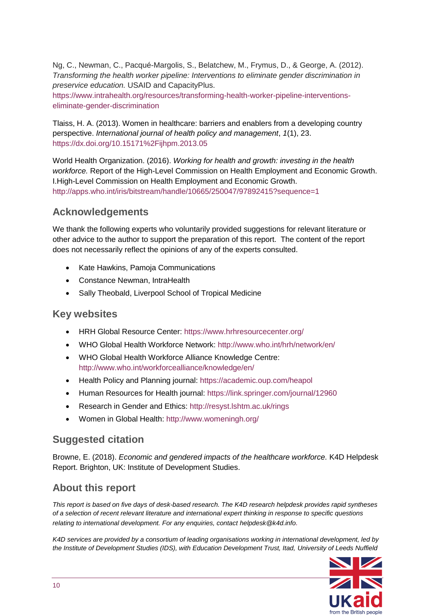Ng, C., Newman, C., Pacqué-Margolis, S., Belatchew, M., Frymus, D., & George, A. (2012). *Transforming the health worker pipeline: Interventions to eliminate gender discrimination in preservice education.* USAID and CapacityPlus.

[https://www.intrahealth.org/resources/transforming-health-worker-pipeline-interventions](https://www.intrahealth.org/resources/transforming-health-worker-pipeline-interventions-eliminate-gender-discrimination)[eliminate-gender-discrimination](https://www.intrahealth.org/resources/transforming-health-worker-pipeline-interventions-eliminate-gender-discrimination)

Tlaiss, H. A. (2013). Women in healthcare: barriers and enablers from a developing country perspective. *International journal of health policy and management*, *1*(1), 23. <https://dx.doi.org/10.15171%2Fijhpm.2013.05>

World Health Organization. (2016). *Working for health and growth: investing in the health workforce.* Report of the High-Level Commission on Health Employment and Economic Growth. I.High-Level Commission on Health Employment and Economic Growth. <http://apps.who.int/iris/bitstream/handle/10665/250047/97892415?sequence=1>

### **Acknowledgements**

We thank the following experts who voluntarily provided suggestions for relevant literature or other advice to the author to support the preparation of this report. The content of the report does not necessarily reflect the opinions of any of the experts consulted.

- Kate Hawkins, Pamoja Communications
- Constance Newman, IntraHealth
- Sally Theobald, Liverpool School of Tropical Medicine

#### **Key websites**

- HRH Global Resource Center:<https://www.hrhresourcecenter.org/>
- WHO Global Health Workforce Network:<http://www.who.int/hrh/network/en/>
- WHO Global Health Workforce Alliance Knowledge Centre: <http://www.who.int/workforcealliance/knowledge/en/>
- Health Policy and Planning journal:<https://academic.oup.com/heapol>
- Human Resources for Health journal:<https://link.springer.com/journal/12960>
- Research in Gender and Ethics:<http://resyst.lshtm.ac.uk/rings>
- Women in Global Health:<http://www.womeningh.org/>

#### **Suggested citation**

Browne, E. (2018). *Economic and gendered impacts of the healthcare workforce.* K4D Helpdesk Report. Brighton, UK: Institute of Development Studies.

#### **About this report**

*This report is based on five days of desk-based research. The K4D research helpdesk provides rapid syntheses of a selection of recent relevant literature and international expert thinking in response to specific questions relating to international development. For any enquiries, contact helpdesk@k4d.info.*

*K4D services are provided by a consortium of leading organisations working in international development, led by the Institute of Development Studies (IDS), with Education Development Trust, Itad, University of Leeds Nuffield*